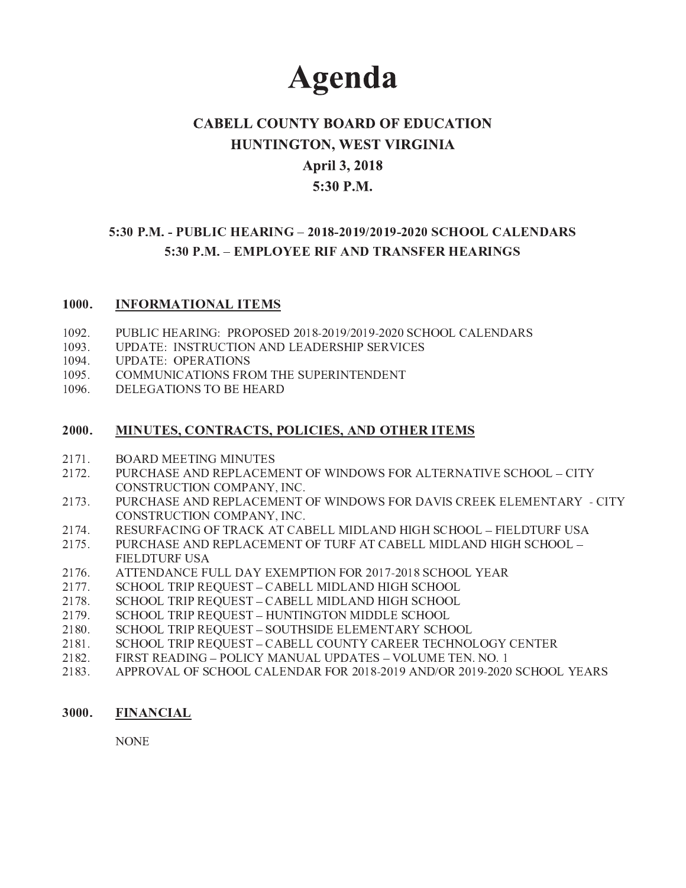# **Agenda**

# **CABELL COUNTY BOARD OF EDUCATION** HUNTINGTON, WEST VIRGINIA **April 3, 2018** 5:30 P.M.

# 5:30 P.M. - PUBLIC HEARING - 2018-2019/2019-2020 SCHOOL CALENDARS 5:30 P.M. – EMPLOYEE RIF AND TRANSFER HEARINGS

#### $1000.$ **INFORMATIONAL ITEMS**

- 1092. PUBLIC HEARING: PROPOSED 2018-2019/2019-2020 SCHOOL CALENDARS
- UPDATE: INSTRUCTION AND LEADERSHIP SERVICES 1093.
- $1094.$ **UPDATE: OPERATIONS**
- $1095.$ COMMUNICATIONS FROM THE SUPERINTENDENT
- 1096. DELEGATIONS TO BE HEARD

#### 2000. **MINUTES, CONTRACTS, POLICIES, AND OTHER ITEMS**

- 2171. **BOARD MEETING MINUTES**
- 2172. PURCHASE AND REPLACEMENT OF WINDOWS FOR ALTERNATIVE SCHOOL - CITY CONSTRUCTION COMPANY, INC.
- PURCHASE AND REPLACEMENT OF WINDOWS FOR DAVIS CREEK ELEMENTARY CITY 2173. CONSTRUCTION COMPANY, INC.
- 2174. RESURFACING OF TRACK AT CABELL MIDLAND HIGH SCHOOL - FIELDTURF USA
- 2175. PURCHASE AND REPLACEMENT OF TURF AT CABELL MIDLAND HIGH SCHOOL -**FIELDTURF USA**
- 2176. ATTENDANCE FULL DAY EXEMPTION FOR 2017-2018 SCHOOL YEAR
- SCHOOL TRIP REQUEST CABELL MIDLAND HIGH SCHOOL 2177.
- SCHOOL TRIP REQUEST CABELL MIDLAND HIGH SCHOOL 2178.
- SCHOOL TRIP REQUEST HUNTINGTON MIDDLE SCHOOL 2179.
- SCHOOL TRIP REQUEST SOUTHSIDE ELEMENTARY SCHOOL 2180.
- 2181. SCHOOL TRIP REQUEST - CABELL COUNTY CAREER TECHNOLOGY CENTER
- FIRST READING POLICY MANUAL UPDATES VOLUME TEN. NO. 1 2182.
- APPROVAL OF SCHOOL CALENDAR FOR 2018-2019 AND/OR 2019-2020 SCHOOL YEARS 2183.

#### 3000. **FINANCIAL**

**NONE**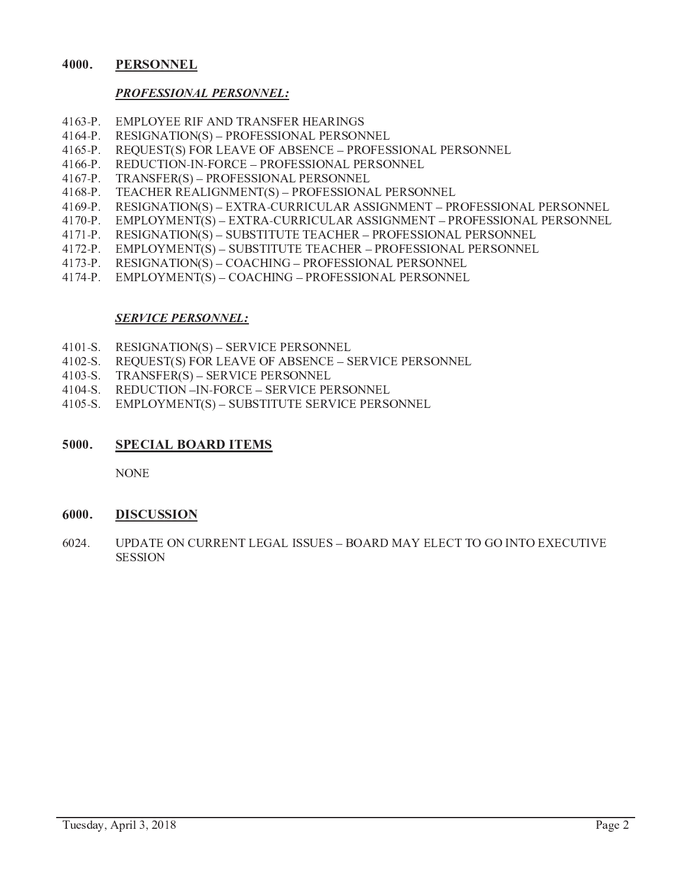#### 4000. **PERSONNEL**

# **PROFESSIONAL PERSONNEL:**

- $4163-P.$ **EMPLOYEE RIF AND TRANSFER HEARINGS**
- $4164-P.$ **RESIGNATION(S) - PROFESSIONAL PERSONNEL**
- $4165-P.$ **REQUEST(S) FOR LEAVE OF ABSENCE - PROFESSIONAL PERSONNEL**
- $4166-P.$ REDUCTION-IN-FORCE - PROFESSIONAL PERSONNEL
- TRANSFER(S) PROFESSIONAL PERSONNEL  $4167-P.$
- $4168-P.$ TEACHER REALIGNMENT(S) - PROFESSIONAL PERSONNEL
- $4169-P.$ RESIGNATION(S) – EXTRA-CURRICULAR ASSIGNMENT – PROFESSIONAL PERSONNEL
- EMPLOYMENT(S) EXTRA-CURRICULAR ASSIGNMENT PROFESSIONAL PERSONNEL  $4170-P.$
- RESIGNATION(S) SUBSTITUTE TEACHER PROFESSIONAL PERSONNEL  $4171-P.$
- 4172-P. EMPLOYMENT(S) SUBSTITUTE TEACHER PROFESSIONAL PERSONNEL
- RESIGNATION(S) COACHING PROFESSIONAL PERSONNEL  $4173-P.$
- $4174-P.$ EMPLOYMENT(S) - COACHING - PROFESSIONAL PERSONNEL

# **SERVICE PERSONNEL:**

- $4101-S.$ **RESIGNATION(S) – SERVICE PERSONNEL**
- $4102-S.$ REQUEST(S) FOR LEAVE OF ABSENCE - SERVICE PERSONNEL
- $4103-S.$ TRANSFER(S) – SERVICE PERSONNEL
- REDUCTION -IN-FORCE SERVICE PERSONNEL  $4104-S.$
- 4105-S. EMPLOYMENT(S) SUBSTITUTE SERVICE PERSONNEL

#### 5000. **SPECIAL BOARD ITEMS**

**NONE** 

#### 6000. **DISCUSSION**

6024. UPDATE ON CURRENT LEGAL ISSUES - BOARD MAY ELECT TO GO INTO EXECUTIVE **SESSION**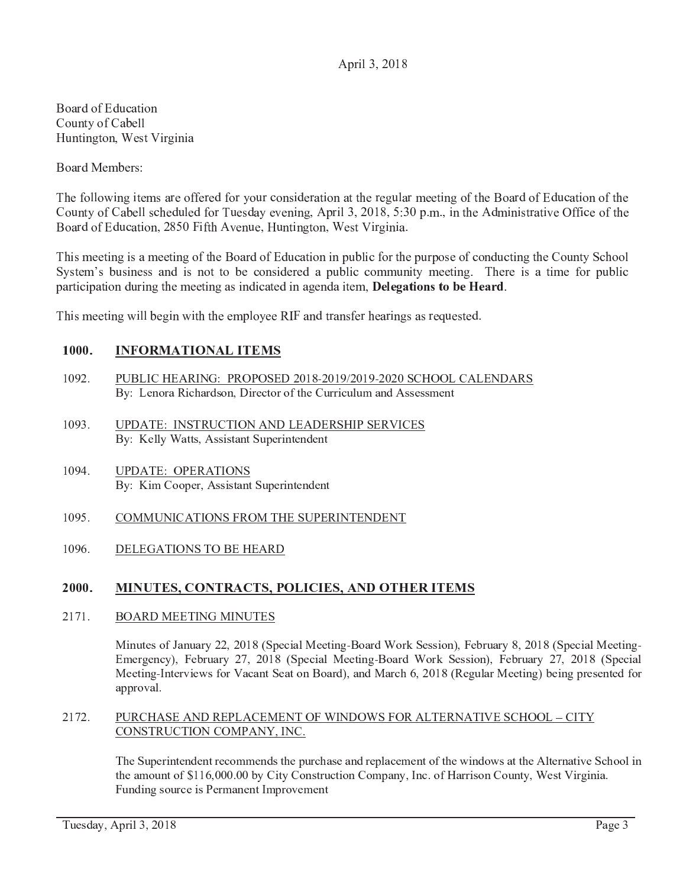# April 3, 2018

 $\overline{\phantom{a}}$  r  $\overline{\phantom{a}}$  and  $\overline{\phantom{a}}$  r  $\overline{\phantom{a}}$  $\sim$   $\sim$   $\sim$   $\sim$   $\sim$ } <sup>u</sup> <sup>x</sup> <sup>w</sup> <sup>g</sup> <sup>x</sup> <sup>~</sup> <sup>w</sup> <sup>p</sup> <sup>x</sup> <sup>j</sup> <sup>|</sup> <sup>w</sup> <sup>g</sup> <sup>f</sup> <sup>~</sup> <sup>g</sup> <sup>x</sup> <sup>g</sup> <sup>q</sup>

<sup>o</sup> <sup>p</sup> <sup>q</sup> <sup>f</sup> <sup>r</sup> <sup>|</sup> { <sup>|</sup> <sup>f</sup>

 <sup>|</sup> <sup>s</sup> <sup>p</sup> <sup>h</sup> <sup>h</sup> <sup>p</sup> <sup>g</sup> <sup>x</sup> <sup>~</sup> <sup>g</sup> <sup>w</sup> <sup>|</sup> <sup>q</sup> <sup>f</sup> <sup>|</sup> <sup>p</sup> <sup>s</sup> <sup>s</sup> <sup>|</sup> <sup>f</sup> <sup>|</sup> <sup>r</sup> <sup>s</sup> <sup>p</sup> <sup>f</sup> <sup>z</sup> <sup>p</sup> <sup>u</sup> <sup>f</sup> <sup>v</sup> <sup>p</sup> <sup>x</sup> <sup>g</sup> <sup>r</sup> <sup>|</sup> <sup>f</sup> <sup>q</sup> <sup>w</sup> <sup>g</sup> <sup>p</sup> <sup>x</sup> <sup>q</sup> <sup>w</sup> <sup>w</sup> <sup>|</sup> <sup>f</sup> <sup>|</sup> <sup>~</sup> <sup>u</sup> <sup>h</sup> <sup>q</sup> <sup>f</sup> <sup>|</sup> <sup>|</sup> <sup>w</sup> <sup>g</sup> <sup>x</sup> <sup>~</sup> <sup>p</sup> <sup>s</sup> <sup>w</sup> <sup>|</sup> <sup>o</sup> <sup>p</sup> <sup>q</sup> <sup>f</sup> <sup>r</sup> <sup>p</sup> <sup>s</sup> <sup>t</sup> <sup>r</sup> <sup>u</sup> <sup>v</sup> <sup>q</sup> <sup>w</sup> <sup>g</sup> <sup>p</sup> <sup>x</sup> <sup>p</sup> <sup>s</sup> <sup>w</sup> <sup>|</sup> <sup>y</sup> <sup>p</sup> <sup>u</sup> <sup>x</sup> <sup>w</sup> <sup>z</sup> <sup>p</sup> <sup>s</sup> <sup>y</sup> <sup>q</sup> { <sup>|</sup> <sup>h</sup> <sup>h</sup> <sup>v</sup> <sup>|</sup> <sup>r</sup> <sup>u</sup> <sup>h</sup> <sup>|</sup> <sup>r</sup> <sup>s</sup> <sup>p</sup> <sup>f</sup> <sup>u</sup> <sup>|</sup> <sup>r</sup> <sup>q</sup> <sup>z</sup> <sup>|</sup> <sup>|</sup> <sup>x</sup> <sup>g</sup> <sup>x</sup> <sup>~</sup> <sup>j</sup> <sup>d</sup> <sup>e</sup> <sup>f</sup> <sup>g</sup> <sup>h</sup> <sup>i</sup> <sup>j</sup> <sup>k</sup> <sup>l</sup> <sup>m</sup> <sup>n</sup> <sup>j</sup> <sup>i</sup> <sup>l</sup> <sup>e</sup> <sup>j</sup> <sup>g</sup> <sup>x</sup> <sup>w</sup> <sup>|</sup> <sup>d</sup> <sup>r</sup> <sup>g</sup> <sup>x</sup> <sup>g</sup> <sup>w</sup> <sup>f</sup> <sup>q</sup> <sup>w</sup> <sup>g</sup> <sup>|</sup> <sup>s</sup> <sup>s</sup> <sup>g</sup> <sup>v</sup> <sup>|</sup> <sup>p</sup> <sup>s</sup> <sup>w</sup> <sup>|</sup> <sup>o</sup> <sup>p</sup> <sup>q</sup> <sup>f</sup> <sup>r</sup> <sup>p</sup> <sup>s</sup> <sup>t</sup> <sup>r</sup> <sup>u</sup> <sup>v</sup> <sup>q</sup> <sup>w</sup> <sup>g</sup> <sup>p</sup> <sup>x</sup> <sup>j</sup> <sup>k</sup> <sup>n</sup> <sup>l</sup> <sup>g</sup> <sup>s</sup> <sup>w</sup> <sup>d</sup> <sup>|</sup> <sup>x</sup> <sup>u</sup> <sup>|</sup> <sup>j</sup> } <sup>u</sup> <sup>x</sup> <sup>w</sup> <sup>g</sup> <sup>x</sup> <sup>~</sup> <sup>w</sup> <sup>p</sup> <sup>x</sup> <sup>j</sup> <sup>|</sup> <sup>w</sup> <sup>g</sup> <sup>f</sup> <sup>~</sup> <sup>g</sup> <sup>x</sup> <sup>g</sup> <sup>q</sup>

 <sup>g</sup> <sup>|</sup> <sup>|</sup> <sup>w</sup> <sup>g</sup> <sup>x</sup> <sup>~</sup> <sup>g</sup> <sup>q</sup> <sup>|</sup> <sup>|</sup> <sup>w</sup> <sup>g</sup> <sup>x</sup> <sup>~</sup> <sup>p</sup> <sup>s</sup> <sup>w</sup> <sup>|</sup> <sup>o</sup> <sup>p</sup> <sup>q</sup> <sup>f</sup> <sup>r</sup> <sup>p</sup> <sup>s</sup> <sup>t</sup> <sup>r</sup> <sup>u</sup> <sup>v</sup> <sup>q</sup> <sup>w</sup> <sup>g</sup> <sup>p</sup> <sup>x</sup> <sup>g</sup> <sup>x</sup> <sup>e</sup> <sup>u</sup> { <sup>h</sup> <sup>g</sup> <sup>v</sup> <sup>s</sup> <sup>p</sup> <sup>f</sup> <sup>w</sup> <sup>|</sup> <sup>e</sup> <sup>u</sup> <sup>f</sup> <sup>e</sup> <sup>p</sup> <sup>|</sup> <sup>p</sup> <sup>s</sup> <sup>v</sup> <sup>p</sup> <sup>x</sup> <sup>r</sup> <sup>u</sup> <sup>v</sup> <sup>w</sup> <sup>g</sup> <sup>x</sup> <sup>~</sup> <sup>w</sup> <sup>|</sup> <sup>y</sup> <sup>p</sup> <sup>u</sup> <sup>x</sup> <sup>w</sup> <sup>z</sup> <sup>v</sup> <sup>p</sup> <sup>p</sup> <sup>h</sup> System's business and is not to be considered a public community meeting. There is a time for public <sup>e</sup> <sup>q</sup> <sup>f</sup> <sup>w</sup> <sup>g</sup> <sup>v</sup> <sup>g</sup> <sup>e</sup> <sup>q</sup> <sup>w</sup> <sup>g</sup> <sup>p</sup> <sup>x</sup> <sup>r</sup> <sup>u</sup> <sup>f</sup> <sup>g</sup> <sup>x</sup> <sup>~</sup> <sup>w</sup> <sup>|</sup> <sup>|</sup> <sup>|</sup> <sup>w</sup> <sup>g</sup> <sup>x</sup> <sup>~</sup> <sup>q</sup> <sup>g</sup> <sup>x</sup> <sup>r</sup> <sup>g</sup> <sup>v</sup> <sup>q</sup> <sup>w</sup> <sup>|</sup> <sup>r</sup> <sup>g</sup> <sup>x</sup> <sup>q</sup> <sup>~</sup> <sup>|</sup> <sup>x</sup> <sup>r</sup> <sup>q</sup> <sup>g</sup> <sup>w</sup> <sup>|</sup> <sup>j</sup> ¥ ¦ § ¦ ¨ © <sup>ª</sup> « <sup>¬</sup> ® <sup>ª</sup> <sup>¬</sup> ¯ ¦ ° ¦ © <sup>±</sup> <sup>²</sup>

<sup>g</sup> <sup>|</sup> <sup>|</sup> <sup>w</sup> <sup>g</sup> <sup>x</sup> <sup>~</sup> <sup>g</sup> <sup>h</sup> <sup>h</sup> { <sup>|</sup> <sup>~</sup> <sup>g</sup> <sup>x</sup> <sup>g</sup> <sup>w</sup> <sup>w</sup> <sup>|</sup> <sup>|</sup> <sup>e</sup> <sup>h</sup> <sup>p</sup> <sup>z</sup> <sup>|</sup> <sup>|</sup> <sup>³</sup> ´ <sup>q</sup> <sup>x</sup> <sup>r</sup> <sup>w</sup> <sup>f</sup> <sup>q</sup> <sup>x</sup> <sup>s</sup> <sup>|</sup> <sup>f</sup> <sup>|</sup> <sup>q</sup> <sup>f</sup> <sup>g</sup> <sup>x</sup> <sup>~</sup> <sup>q</sup> <sup>f</sup> <sup>|</sup> <sup>µ</sup> <sup>u</sup> <sup>|</sup> <sup>w</sup> <sup>|</sup> <sup>r</sup>

# 

- $1092.$ PUBLIC HEARING: PROPOSED 2018-2019/2019-2020 SCHOOL CALENDARS By: Lenora Richardson, Director of the Curriculum and Assessmen
- 1093. UPDATE: INSTRUCTION AND LEADERSHIP SERVICE By: Kelly Watts, Assistant Superintendent
- 1094. UPDATE: OPERATIONS By: Kim Cooper, Assistant Superintendent
- 1095. COMMUNICATIONS FROM THE SUPERINTENDENT
- 1096. DELEGATIONS TO BE HEARD

# ?   ?  ?

# 2171. BOARD MEETING MINUTES

Minutes of January 22, 2018 (Special Meeting-Board Work Session), February 8, 2018 (Special Meeting-Emergency), February 27, 2018 (Special Meeting-Board Work Session), February 27, 2018 (Special Meeting-Interviews for Vacant Seat on Board), and March 6, 2018 (Regular Meeting) being presented for approval.

# 2172. PURCHASE AND REPLACEMENT OF WINDOWS FOR ALTERNATIVE SCHOOL – CIT CONSTRUCTION COMPANY, INC.

The Superintendent recommends the purchase and replacement of the windows at the Alternative School in the amount of \$116,000.00 by City Construction Company, Inc. of Harrison County, West Virginia. Funding source is Permanent Improvement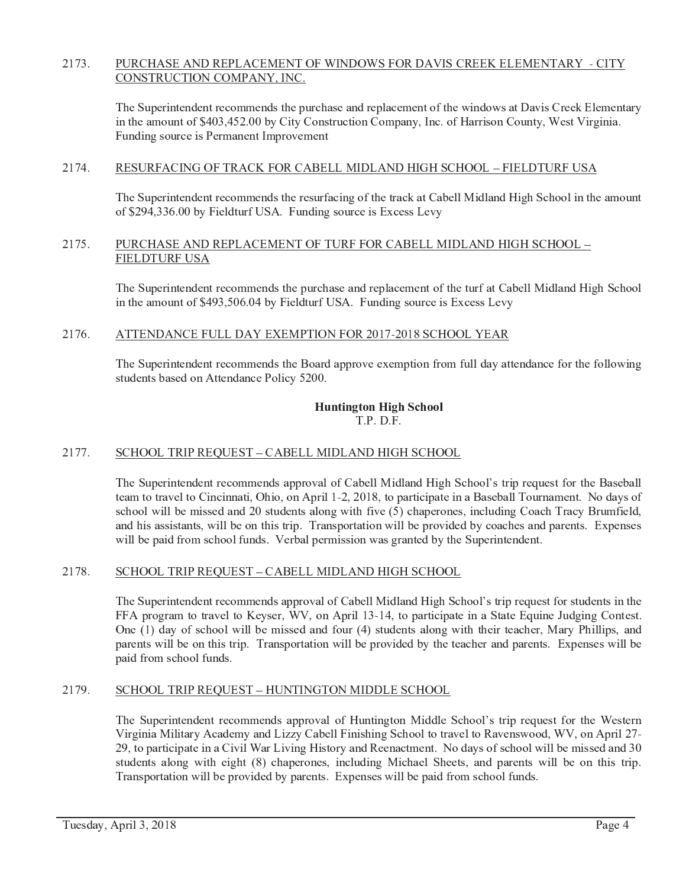#### 2173. PURCHASE AND REPLACEMENT OF WINDOWS FOR DAVIS CREEK ELEMENTARY - CITY CONSTRUCTION COMPANY, INC.

The Superintendent recommends the purchase and replacement of the windows at Davis Creek Elementary in the amount of \$403,452.00 by City Construction Company, Inc. of Harrison County, West Virginia. Funding source is Permanent Improvement

#### 2174. RESURFACING OF TRACK FOR CABELL MIDLAND HIGH SCHOOL - FIELDTURF USA

The Superintendent recommends the resurfacing of the track at Cabell Midland High School in the amount of \$294,336.00 by Fieldturf USA. Funding source is Excess Levy

#### 2175 PURCHASE AND REPLACEMENT OF TURF FOR CABELL MIDLAND HIGH SCHOOL -**FIELDTURF USA**

The Superintendent recommends the purchase and replacement of the turf at Cabell Midland High School in the amount of \$493,506.04 by Fieldturf USA. Funding source is Excess Levy

#### 2176. ATTENDANCE FULL DAY EXEMPTION FOR 2017-2018 SCHOOL YEAR

The Superintendent recommends the Board approve exemption from full day attendance for the following students based on Attendance Policy 5200.

### **Huntington High School**  $T.P. D.F.$

#### 2177. SCHOOL TRIP REQUEST - CABELL MIDLAND HIGH SCHOOL

The Superintendent recommends approval of Cabell Midland High School's trip request for the Baseball team to travel to Cincinnati, Ohio, on April 1-2, 2018, to participate in a Baseball Tournament. No days of school will be missed and 20 students along with five (5) chaperones, including Coach Tracy Brumfield, and his assistants, will be on this trip. Transportation will be provided by coaches and parents. Expenses will be paid from school funds. Verbal permission was granted by the Superintendent.

#### 2178. SCHOOL TRIP REQUEST - CABELL MIDLAND HIGH SCHOOL

The Superintendent recommends approval of Cabell Midland High School's trip request for students in the FFA program to travel to Keyser, WV, on April 13-14, to participate in a State Equine Judging Contest. One (1) day of school will be missed and four (4) students along with their teacher, Mary Phillips, and parents will be on this trip. Transportation will be provided by the teacher and parents. Expenses will be paid from school funds.

#### 2179. SCHOOL TRIP REQUEST - HUNTINGTON MIDDLE SCHOOL

The Superintendent recommends approval of Huntington Middle School's trip request for the Western Virginia Military Academy and Lizzy Cabell Finishing School to travel to Ravenswood, WV, on April 27-29, to participate in a Civil War Living History and Reenactment. No days of school will be missed and 30 students along with eight (8) chaperones, including Michael Sheets, and parents will be on this trip. Transportation will be provided by parents. Expenses will be paid from school funds.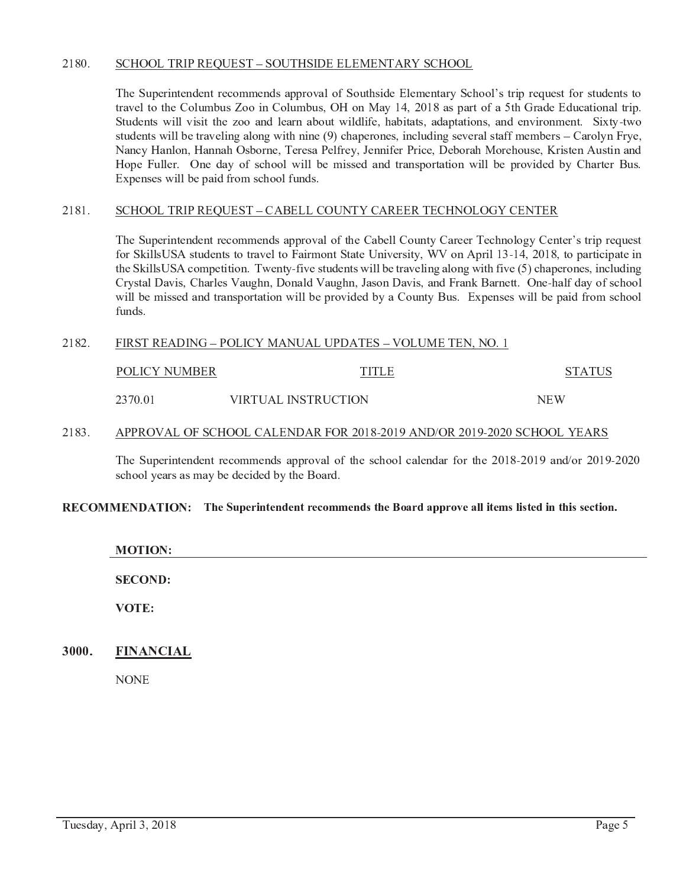#### 2180. SCHOOL TRIP REQUEST - SOUTHSIDE ELEMENTARY SCHOOL

The Superintendent recommends approval of Southside Elementary School's trip request for students to travel to the Columbus Zoo in Columbus, OH on May 14, 2018 as part of a 5th Grade Educational trip. Students will visit the zoo and learn about wildlife, habitats, adaptations, and environment. Sixty-two students will be traveling along with nine (9) chaperones, including several staff members – Carolyn Frye, Nancy Hanlon, Hannah Osborne, Teresa Pelfrey, Jennifer Price, Deborah Morehouse, Kristen Austin and Hope Fuller. One day of school will be missed and transportation will be provided by Charter Bus. Expenses will be paid from school funds.

#### 2181. SCHOOL TRIP REOUEST - CABELL COUNTY CAREER TECHNOLOGY CENTER

The Superintendent recommends approval of the Cabell County Career Technology Center's trip request for SkillsUSA students to travel to Fairmont State University, WV on April 13-14, 2018, to participate in the SkillsUSA competition. Twenty-five students will be traveling along with five (5) chaperones, including Crystal Davis, Charles Vaughn, Donald Vaughn, Jason Davis, and Frank Barnett. One-half day of school will be missed and transportation will be provided by a County Bus. Expenses will be paid from school funds.

#### 2182. FIRST READING - POLICY MANUAL UPDATES - VOLUME TEN, NO. 1

| POLICY NUMBER | TITI F              | <b>STATUS</b> |
|---------------|---------------------|---------------|
| 2370.01       | VIRTUAL INSTRUCTION | <b>NFW</b>    |

#### 2183. APPROVAL OF SCHOOL CALENDAR FOR 2018-2019 AND/OR 2019-2020 SCHOOL YEARS

The Superintendent recommends approval of the school calendar for the 2018-2019 and/or 2019-2020 school years as may be decided by the Board.

# RECOMMENDATION: The Superintendent recommends the Board approve all items listed in this section.

| <b>MOTION:</b> |  |  |  |
|----------------|--|--|--|
| <b>SECOND:</b> |  |  |  |
| VOTE:          |  |  |  |

#### 3000. **FINANCIAL**

**NONE**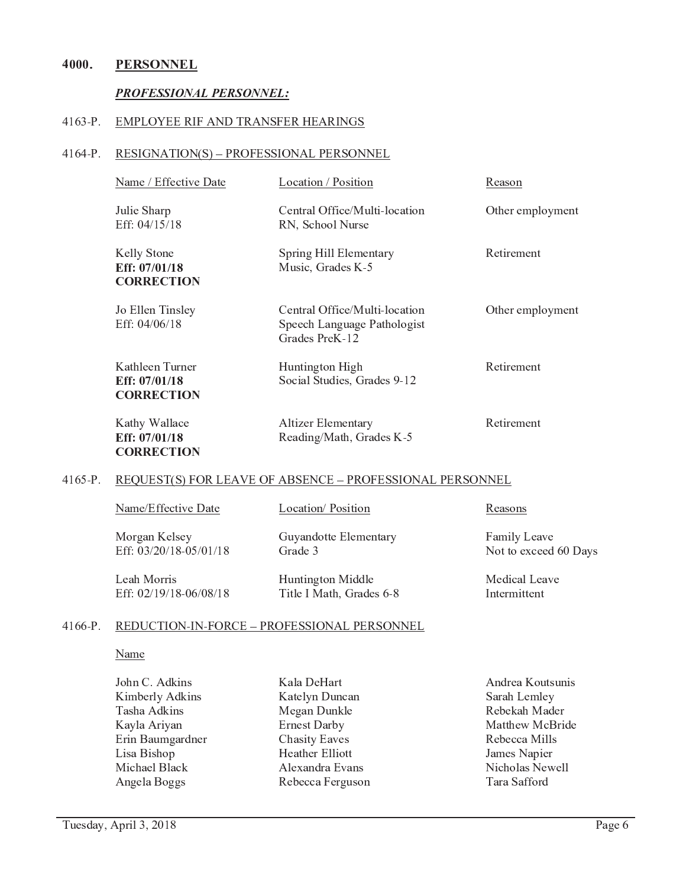#### 4000. **PERSONNEL**

### **PROFESSIONAL PERSONNEL:**

#### $4163-P.$ **EMPLOYEE RIF AND TRANSFER HEARINGS**

### 4164-P. RESIGNATION(S) - PROFESSIONAL PERSONNEL

| Name / Effective Date                                 | Location / Position                                                            | Reason           |
|-------------------------------------------------------|--------------------------------------------------------------------------------|------------------|
| Julie Sharp<br>Eff: 04/15/18                          | Central Office/Multi-location<br>RN, School Nurse                              | Other employment |
| Kelly Stone<br>Eff: $07/01/18$<br><b>CORRECTION</b>   | Spring Hill Elementary<br>Music, Grades K-5                                    | Retirement       |
| Jo Ellen Tinsley<br>Eff: 04/06/18                     | Central Office/Multi-location<br>Speech Language Pathologist<br>Grades PreK-12 | Other employment |
| Kathleen Turner<br>Eff: 07/01/18<br><b>CORRECTION</b> | Huntington High<br>Social Studies, Grades 9-12                                 | Retirement       |
| Kathy Wallace<br>Eff: 07/01/18                        | Altizer Elementary<br>Reading/Math, Grades K-5                                 | Retirement       |

### 4165-P. REQUEST(S) FOR LEAVE OF ABSENCE - PROFESSIONAL PERSONNEL

| Name/Effective Date    | Location/Position        | Reasons               |
|------------------------|--------------------------|-----------------------|
| Morgan Kelsey          | Guyandotte Elementary    | Family Leave          |
| Eff: 03/20/18-05/01/18 | Grade 3                  | Not to exceed 60 Days |
| Leah Morris            | Huntington Middle        | Medical Leave         |
| Eff: 02/19/18-06/08/18 | Title I Math, Grades 6-8 | Intermittent          |

#### $4166-P.$ REDUCTION-IN-FORCE - PROFESSIONAL PERSONNEL

### Name

| John C. Adkins   |
|------------------|
| Kimberly Adkins  |
| Tasha Adkins     |
| Kayla Ariyan     |
| Erin Baumgardner |
| Lisa Bishop      |
| Michael Black    |
| Angela Boggs     |

**CORRECTION** 

Kala DeHart Katelyn Duncan Megan Dunkle **Ernest Darby Chasity Eaves Heather Elliott** Alexandra Evans Rebecca Ferguson

Andrea Koutsunis Sarah Lemley Rebekah Mader Matthew McBride Rebecca Mills James Napier Nicholas Newell Tara Safford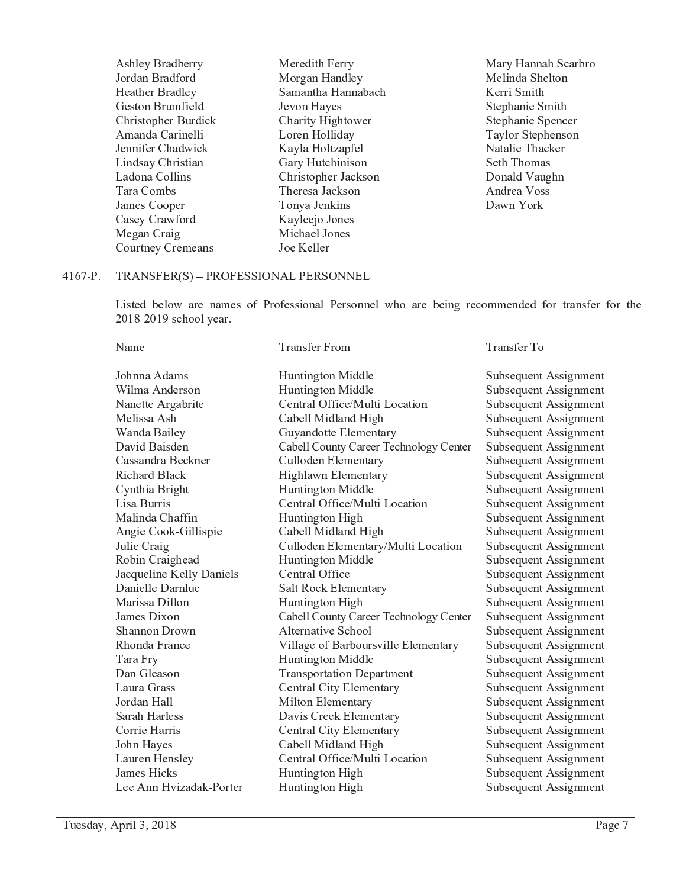Ashley Bradberry Jordan Bradford Heather Bradley Geston Brumfield Christopher Burdick Amanda Carinelli Jennifer Chadwick Lindsay Christian Ladona Collins Tara Combs James Cooper Casey Crawford Megan Craig **Courtney Cremeans** 

Meredith Ferry Morgan Handley Samantha Hannabach Jevon Hayes Charity Hightower Loren Holliday Kayla Holtzapfel Gary Hutchinison Christopher Jackson Theresa Jackson Tonya Jenkins Kayleejo Jones Michael Jones Joe Keller

Mary Hannah Scarbro Melinda Shelton Kerri Smith Stephanie Smith Stephanie Spencer Taylor Stephenson Natalie Thacker Seth Thomas Donald Vaughn Andrea Voss Dawn York

#### $4167-P.$ TRANSFER(S) - PROFESSIONAL PERSONNEL

Listed below are names of Professional Personnel who are being recommended for transfer for the 2018-2019 school year.

| Name                                         | <b>Transfer From</b>                   | Transfer To           |
|----------------------------------------------|----------------------------------------|-----------------------|
| Johnna Adams                                 | Huntington Middle                      | Subsequent Assignment |
| Wilma Anderson                               | Huntington Middle                      | Subsequent Assignment |
| Nanette Argabrite                            | Central Office/Multi Location          | Subsequent Assignment |
| Melissa Ash                                  | Cabell Midland High                    | Subsequent Assignment |
| Wanda Bailey                                 | Guyandotte Elementary                  | Subsequent Assignment |
| David Baisden                                | Cabell County Career Technology Center | Subsequent Assignment |
| Cassandra Beckner                            | Culloden Elementary                    | Subsequent Assignment |
| Richard Black                                | Highlawn Elementary                    | Subsequent Assignment |
| Cynthia Bright                               | Huntington Middle                      | Subsequent Assignment |
| Lisa Burris                                  | Central Office/Multi Location          | Subsequent Assignment |
| Malinda Chaffin                              | Huntington High                        | Subsequent Assignment |
| Angie Cook-Gillispie                         | Cabell Midland High                    | Subsequent Assignment |
| Julie Craig                                  | Culloden Elementary/Multi Location     | Subsequent Assignment |
|                                              | Huntington Middle                      |                       |
| Robin Craighead                              | Central Office                         | Subsequent Assignment |
| Jacqueline Kelly Daniels<br>Danielle Darnluc |                                        | Subsequent Assignment |
|                                              | Salt Rock Elementary                   | Subsequent Assignment |
| Marissa Dillon                               | Huntington High                        | Subsequent Assignment |
| James Dixon                                  | Cabell County Career Technology Center | Subsequent Assignment |
| <b>Shannon Drown</b>                         | Alternative School                     | Subsequent Assignment |
| Rhonda France                                | Village of Barboursville Elementary    | Subsequent Assignment |
| Tara Fry                                     | Huntington Middle                      | Subsequent Assignment |
| Dan Gleason                                  | <b>Transportation Department</b>       | Subsequent Assignment |
| Laura Grass                                  | Central City Elementary                | Subsequent Assignment |
| Jordan Hall                                  | Milton Elementary                      | Subsequent Assignment |
| Sarah Harless                                | Davis Creek Elementary                 | Subsequent Assignment |
| Corrie Harris                                | Central City Elementary                | Subsequent Assignment |
| John Hayes                                   | Cabell Midland High                    | Subsequent Assignment |
| Lauren Hensley                               | Central Office/Multi Location          | Subsequent Assignment |
| James Hicks                                  | Huntington High                        | Subsequent Assignment |
| Lee Ann Hvizadak-Porter                      | Huntington High                        | Subsequent Assignment |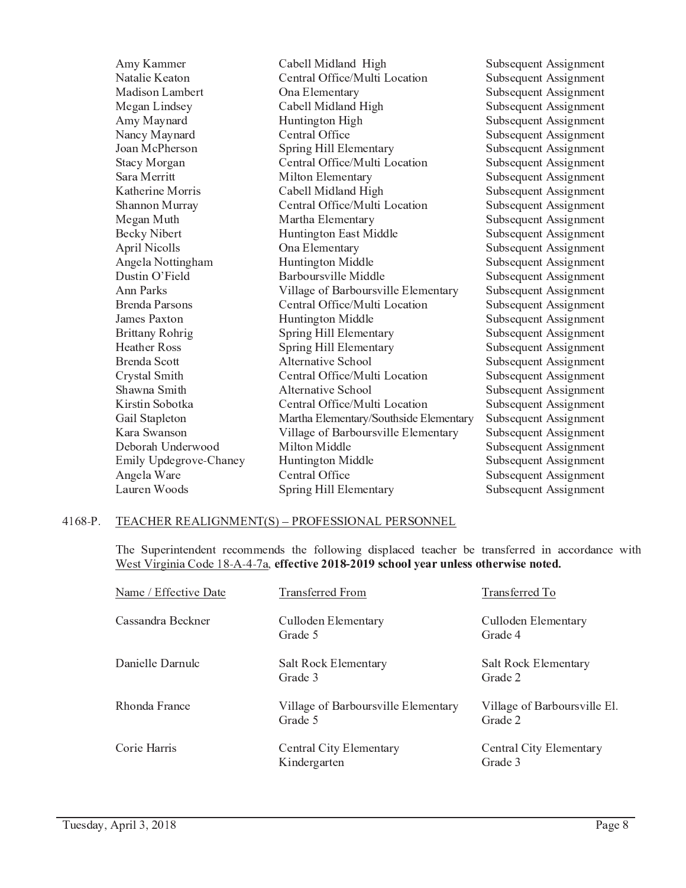| Amy Kammer             | Cabell Midland High                    | Subsequent Assignment |
|------------------------|----------------------------------------|-----------------------|
| Natalie Keaton         | Central Office/Multi Location          | Subsequent Assignment |
| Madison Lambert        | Ona Elementary                         | Subsequent Assignment |
| Megan Lindsey          | Cabell Midland High                    | Subsequent Assignment |
| Amy Maynard            | Huntington High                        | Subsequent Assignment |
| Nancy Maynard          | Central Office                         | Subsequent Assignment |
| Joan McPherson         | Spring Hill Elementary                 | Subsequent Assignment |
| <b>Stacy Morgan</b>    | Central Office/Multi Location          | Subsequent Assignment |
| Sara Merritt           | Milton Elementary                      | Subsequent Assignment |
| Katherine Morris       | Cabell Midland High                    | Subsequent Assignment |
| Shannon Murray         | Central Office/Multi Location          | Subsequent Assignment |
| Megan Muth             | Martha Elementary                      | Subsequent Assignment |
| <b>Becky Nibert</b>    | Huntington East Middle                 | Subsequent Assignment |
| April Nicolls          | Ona Elementary                         | Subsequent Assignment |
| Angela Nottingham      | Huntington Middle                      | Subsequent Assignment |
| Dustin O'Field         | Barboursville Middle                   | Subsequent Assignment |
| Ann Parks              | Village of Barboursville Elementary    | Subsequent Assignment |
| Brenda Parsons         | Central Office/Multi Location          | Subsequent Assignment |
| James Paxton           | Huntington Middle                      | Subsequent Assignment |
| <b>Brittany Rohrig</b> | Spring Hill Elementary                 | Subsequent Assignment |
| <b>Heather Ross</b>    | Spring Hill Elementary                 | Subsequent Assignment |
| <b>Brenda Scott</b>    | Alternative School                     | Subsequent Assignment |
| Crystal Smith          | Central Office/Multi Location          | Subsequent Assignment |
| Shawna Smith           | Alternative School                     | Subsequent Assignment |
| Kirstin Sobotka        | Central Office/Multi Location          | Subsequent Assignment |
| Gail Stapleton         | Martha Elementary/Southside Elementary | Subsequent Assignment |
| Kara Swanson           | Village of Barboursville Elementary    | Subsequent Assignment |
| Deborah Underwood      | Milton Middle                          | Subsequent Assignment |
| Emily Updegrove-Chaney | Huntington Middle                      | Subsequent Assignment |
| Angela Ware            | Central Office                         | Subsequent Assignment |
| Lauren Woods           | Spring Hill Elementary                 | Subsequent Assignment |

#### $4168-P.$ TEACHER REALIGNMENT(S) - PROFESSIONAL PERSONNEL

The Superintendent recommends the following displaced teacher be transferred in accordance with West Virginia Code 18-A-4-7a, effective 2018-2019 school year unless otherwise noted.

| Name / Effective Date | <b>Transferred From</b>                        | Transferred To                          |
|-----------------------|------------------------------------------------|-----------------------------------------|
| Cassandra Beckner     | Culloden Elementary<br>Grade 5                 | Culloden Elementary<br>Grade 4          |
| Danielle Darnulc      | Salt Rock Elementary<br>Grade 3                | <b>Salt Rock Elementary</b><br>Grade 2  |
| Rhonda France         | Village of Barboursville Elementary<br>Grade 5 | Village of Barboursville El.<br>Grade 2 |
| Corie Harris          | Central City Elementary<br>Kindergarten        | Central City Elementary<br>Grade 3      |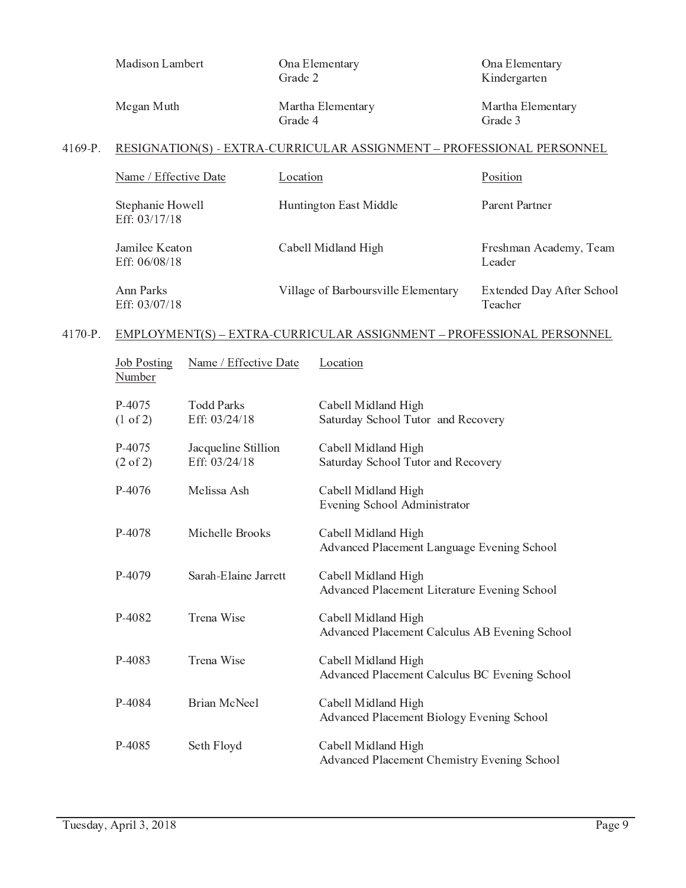|         | Madison Lambert                   |                                      | Grade 2  | Ona Elementary                                                        | Ona Elementary<br>Kindergarten       |
|---------|-----------------------------------|--------------------------------------|----------|-----------------------------------------------------------------------|--------------------------------------|
|         | Megan Muth                        |                                      | Grade 4  | Martha Elementary                                                     | Martha Elementary<br>Grade 3         |
| 4169-P. |                                   |                                      |          | RESIGNATION(S) - EXTRA-CURRICULAR ASSIGNMENT - PROFESSIONAL PERSONNEL |                                      |
|         | Name / Effective Date             |                                      | Location |                                                                       | Position                             |
|         | Stephanie Howell<br>Eff: 03/17/18 |                                      |          | Huntington East Middle                                                | Parent Partner                       |
|         | Jamilee Keaton<br>Eff: 06/08/18   |                                      |          | Cabell Midland High                                                   | Freshman Academy, Team<br>Leader     |
|         | Ann Parks<br>Eff: 03/07/18        |                                      |          | Village of Barboursville Elementary                                   | Extended Day After School<br>Teacher |
| 4170-P. |                                   |                                      |          | EMPLOYMENT(S) - EXTRA-CURRICULAR ASSIGNMENT - PROFESSIONAL PERSONNEL  |                                      |
|         | <b>Job Posting</b><br>Number      | Name / Effective Date                |          | Location                                                              |                                      |
|         | P-4075<br>$(1 \text{ of } 2)$     | <b>Todd Parks</b><br>Eff: 03/24/18   |          | Cabell Midland High<br>Saturday School Tutor and Recovery             |                                      |
|         | P-4075<br>$(2 \text{ of } 2)$     | Jacqueline Stillion<br>Eff: 03/24/18 |          | Cabell Midland High<br>Saturday School Tutor and Recovery             |                                      |
|         | P-4076                            | Melissa Ash                          |          | Cabell Midland High<br>Evening School Administrator                   |                                      |
|         | P-4078                            | Michelle Brooks                      |          | Cabell Midland High<br>Advanced Placement Language Evening School     |                                      |
|         | P-4079                            | Sarah-Elaine Jarrett                 |          | Cabell Midland High<br>Advanced Placement Literature Evening School   |                                      |
|         | P-4082                            | Trena Wise                           |          | Cabell Midland High<br>Advanced Placement Calculus AB Evening School  |                                      |
|         | P-4083                            | Trena Wise                           |          | Cabell Midland High<br>Advanced Placement Calculus BC Evening School  |                                      |
|         | P-4084                            | <b>Brian McNeel</b>                  |          | Cabell Midland High<br>Advanced Placement Biology Evening School      |                                      |
|         | P-4085                            | Seth Floyd                           |          | Cabell Midland High<br>Advanced Placement Chemistry Evening School    |                                      |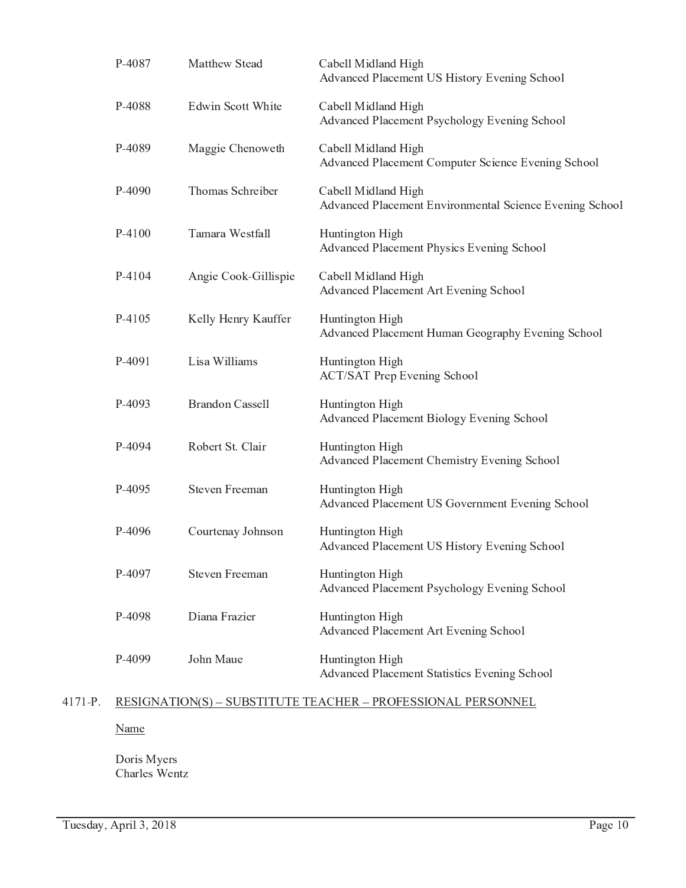| P-4087   | Matthew Stead          | Cabell Midland High<br>Advanced Placement US History Evening School            |
|----------|------------------------|--------------------------------------------------------------------------------|
| P-4088   | Edwin Scott White      | Cabell Midland High<br>Advanced Placement Psychology Evening School            |
| P-4089   | Maggie Chenoweth       | Cabell Midland High<br>Advanced Placement Computer Science Evening School      |
| P-4090   | Thomas Schreiber       | Cabell Midland High<br>Advanced Placement Environmental Science Evening School |
| $P-4100$ | Tamara Westfall        | Huntington High<br>Advanced Placement Physics Evening School                   |
| P-4104   | Angie Cook-Gillispie   | Cabell Midland High<br>Advanced Placement Art Evening School                   |
| P-4105   | Kelly Henry Kauffer    | Huntington High<br>Advanced Placement Human Geography Evening School           |
| P-4091   | Lisa Williams          | Huntington High<br><b>ACT/SAT Prep Evening School</b>                          |
| P-4093   | <b>Brandon Cassell</b> | Huntington High<br>Advanced Placement Biology Evening School                   |
| P-4094   | Robert St. Clair       | Huntington High<br>Advanced Placement Chemistry Evening School                 |
| P-4095   | <b>Steven Freeman</b>  | Huntington High<br>Advanced Placement US Government Evening School             |
| P-4096   | Courtenay Johnson      | Huntington High<br>Advanced Placement US History Evening School                |
| P-4097   | <b>Steven Freeman</b>  | Huntington High<br>Advanced Placement Psychology Evening School                |
| P-4098   | Diana Frazier          | Huntington High<br>Advanced Placement Art Evening School                       |
| P-4099   | John Maue              | Huntington High<br>Advanced Placement Statistics Evening School                |

# 4171-P. RESIGNATION(S) - SUBSTITUTE TEACHER - PROFESSIONAL PERSONNEL

Name

Doris Myers<br>Charles Wentz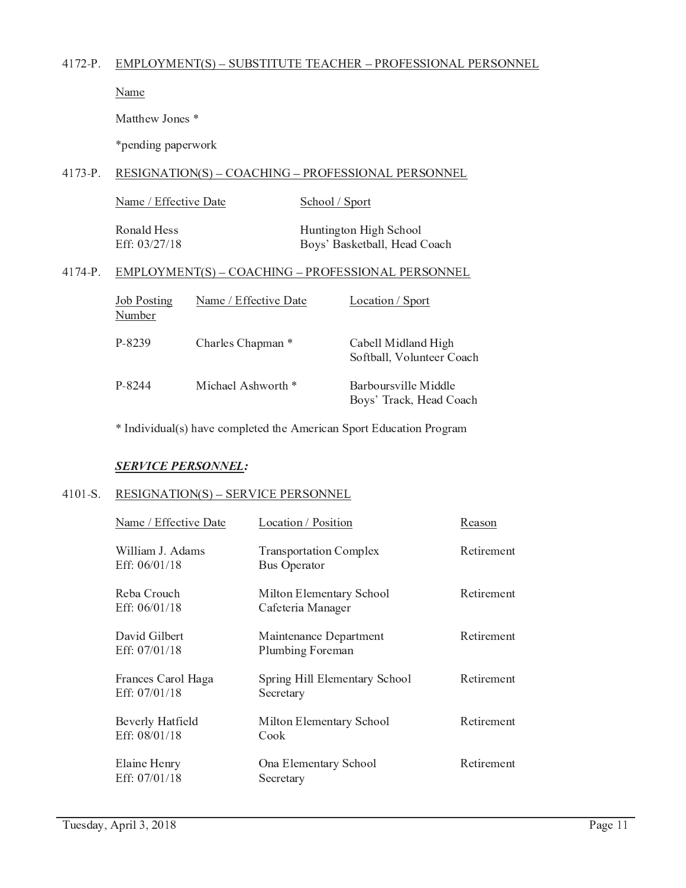# 4172-P. EMPLOYMENT(S) - SUBSTITUTE TEACHER - PROFESSIONAL PERSONNEL

Name

Matthew Jones\*

\*pending paperwork

# 4173-P. RESIGNATION(S) - COACHING - PROFESSIONAL PERSONNEL

| Name / Effective Date | School / Sport |
|-----------------------|----------------|
|                       |                |

Ronald Hess Eff: 03/27/18 Huntington High School Boys' Basketball, Head Coach

# 4174-P. EMPLOYMENT(S) - COACHING - PROFESSIONAL PERSONNEL

| <b>Job Posting</b><br>Number | Name / Effective Date | Location / Sport                                 |
|------------------------------|-----------------------|--------------------------------------------------|
| P-8239                       | Charles Chapman *     | Cabell Midland High<br>Softball, Volunteer Coach |
| P-8244                       | Michael Ashworth *    | Barboursville Middle<br>Boys' Track, Head Coach  |

\* Individual(s) have completed the American Sport Education Program

# **SERVICE PERSONNEL:**

# 4101-S. RESIGNATION(S) - SERVICE PERSONNEL

| Name / Effective Date                 | Location / Position                                  | Reason     |
|---------------------------------------|------------------------------------------------------|------------|
| William J. Adams<br>Eff: $06/01/18$   | <b>Transportation Complex</b><br><b>Bus Operator</b> | Retirement |
| Reba Crouch<br>Eff: $06/01/18$        | Milton Elementary School<br>Cafeteria Manager        | Retirement |
| David Gilbert<br>Eff: $07/01/18$      | Maintenance Department<br>Plumbing Foreman           | Retirement |
| Frances Carol Haga<br>Eff: $07/01/18$ | Spring Hill Elementary School<br>Secretary           | Retirement |
| Beverly Hatfield<br>Eff: $08/01/18$   | Milton Elementary School<br>Cook                     | Retirement |
| Elaine Henry<br>Eff: 07/01/18         | Ona Elementary School<br>Secretary                   | Retirement |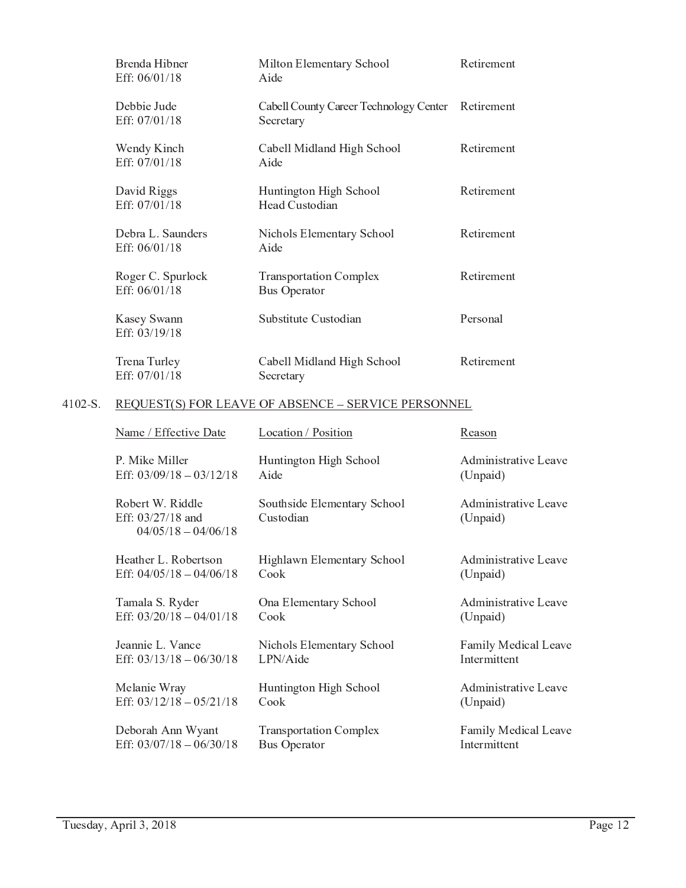| Brenda Hibner<br>Eff: $06/01/18$   | Milton Elementary School<br>Aide                     | Retirement |
|------------------------------------|------------------------------------------------------|------------|
| Debbie Jude<br>Eff: 07/01/18       | Cabell County Career Technology Center<br>Secretary  | Retirement |
| Wendy Kinch<br>Eff: 07/01/18       | Cabell Midland High School<br>Aide                   | Retirement |
| David Riggs<br>Eff: 07/01/18       | Huntington High School<br>Head Custodian             | Retirement |
| Debra L. Saunders<br>Eff: 06/01/18 | Nichols Elementary School<br>Aide                    | Retirement |
| Roger C. Spurlock<br>Eff: 06/01/18 | <b>Transportation Complex</b><br><b>Bus Operator</b> | Retirement |
| Kasey Swann<br>Eff: 03/19/18       | Substitute Custodian                                 | Personal   |
| Trena Turley<br>Eff: 07/01/18      | Cabell Midland High School<br>Secretary              | Retirement |

# 4102-S. REQUEST(S) FOR LEAVE OF ABSENCE - SERVICE PERSONNEL

| Name / Effective Date                                          | Location / Position                      | Reason                           |
|----------------------------------------------------------------|------------------------------------------|----------------------------------|
| P. Mike Miller                                                 | Huntington High School                   | Administrative Leave             |
| Eff: $03/09/18 - 03/12/18$                                     | Aide                                     | (Unpaid)                         |
| Robert W. Riddle<br>Eff: 03/27/18 and<br>$04/05/18 - 04/06/18$ | Southside Elementary School<br>Custodian | Administrative Leave<br>(Unpaid) |
| Heather L. Robertson                                           | Highlawn Elementary School               | Administrative Leave             |
| Eff: $04/05/18 - 04/06/18$                                     | Cook                                     | (Unpaid)                         |
| Tamala S. Ryder                                                | Ona Elementary School                    | Administrative Leave             |
| Eff: $03/20/18 - 04/01/18$                                     | Cook                                     | (Unpaid)                         |
| Jeannie L. Vance                                               | Nichols Elementary School                | Family Medical Leave             |
| Eff: $03/13/18 - 06/30/18$                                     | LPN/Aide                                 | Intermittent                     |
| Melanie Wray                                                   | Huntington High School                   | Administrative Leave             |
| Eff: $03/12/18 - 05/21/18$                                     | Cook                                     | (Unpaid)                         |
| Deborah Ann Wyant                                              | <b>Transportation Complex</b>            | Family Medical Leave             |
| Eff: $03/07/18 - 06/30/18$                                     | <b>Bus Operator</b>                      | Intermittent                     |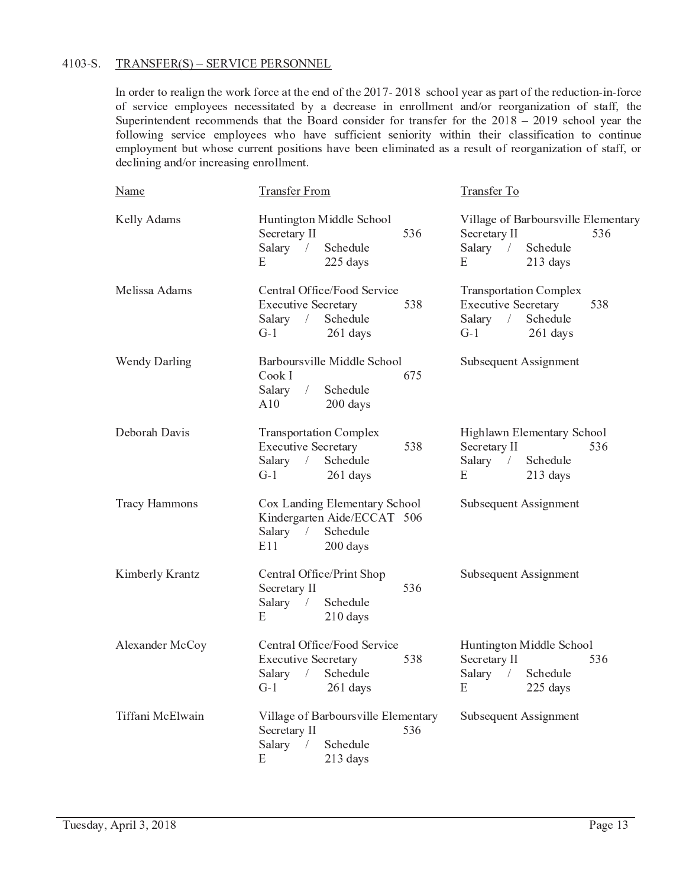# 4103-S. TRANSFER(S) - SERVICE PERSONNEL

In order to realign the work force at the end of the 2017-2018 school year as part of the reduction-in-force of service employees necessitated by a decrease in enrollment and/or reorganization of staff, the Superintendent recommends that the Board consider for transfer for the  $2018 - 2019$  school year the following service employees who have sufficient seniority within their classification to continue employment but whose current positions have been eliminated as a result of reorganization of staff, or declining and/or increasing enrollment.

| <b>Name</b>          | <b>Transfer From</b>                                                                                                        | Transfer To                                                                                                       |
|----------------------|-----------------------------------------------------------------------------------------------------------------------------|-------------------------------------------------------------------------------------------------------------------|
| Kelly Adams          | Huntington Middle School<br>536<br>Secretary II<br>Salary<br>Schedule<br>$\sqrt{2}$<br>225 days<br>Ε                        | Village of Barboursville Elementary<br>Secretary II<br>536<br>Salary $/$<br>Schedule<br>213 days<br>E             |
| Melissa Adams        | Central Office/Food Service<br><b>Executive Secretary</b><br>538<br>$\sqrt{2}$<br>Schedule<br>Salary<br>$G-1$<br>261 days   | <b>Transportation Complex</b><br><b>Executive Secretary</b><br>538<br>Salary $/$<br>Schedule<br>$G-1$<br>261 days |
| Wendy Darling        | Barboursville Middle School<br>Cook I<br>675<br>$\left  \right $<br>Schedule<br>Salary<br>A10<br>200 days                   | Subsequent Assignment                                                                                             |
| Deborah Davis        | <b>Transportation Complex</b><br><b>Executive Secretary</b><br>538<br>Schedule<br>Salary<br>$\sqrt{2}$<br>$G-1$<br>261 days | Highlawn Elementary School<br>Secretary II<br>536<br>Schedule<br>Salary $/$<br>E<br>213 days                      |
| <b>Tracy Hammons</b> | Cox Landing Elementary School<br>Kindergarten Aide/ECCAT 506<br>Salary<br>Schedule<br>$\sqrt{2}$<br>E11<br>200 days         | Subsequent Assignment                                                                                             |
| Kimberly Krantz      | Central Office/Print Shop<br>Secretary II<br>536<br>Salary<br>Schedule<br>$\sqrt{2}$<br>210 days<br>E                       | Subsequent Assignment                                                                                             |
| Alexander McCoy      | Central Office/Food Service<br><b>Executive Secretary</b><br>538<br>Salary<br>$\bar{I}$<br>Schedule<br>$G-1$<br>$261$ days  | Huntington Middle School<br>Secretary II<br>536<br>Salary<br>Schedule<br>$\sqrt{2}$<br>225 days<br>E              |
| Tiffani McElwain     | Village of Barboursville Elementary<br>Secretary II<br>536<br>Salary<br>Schedule<br>$\sqrt{2}$<br>Е<br>213 days             | Subsequent Assignment                                                                                             |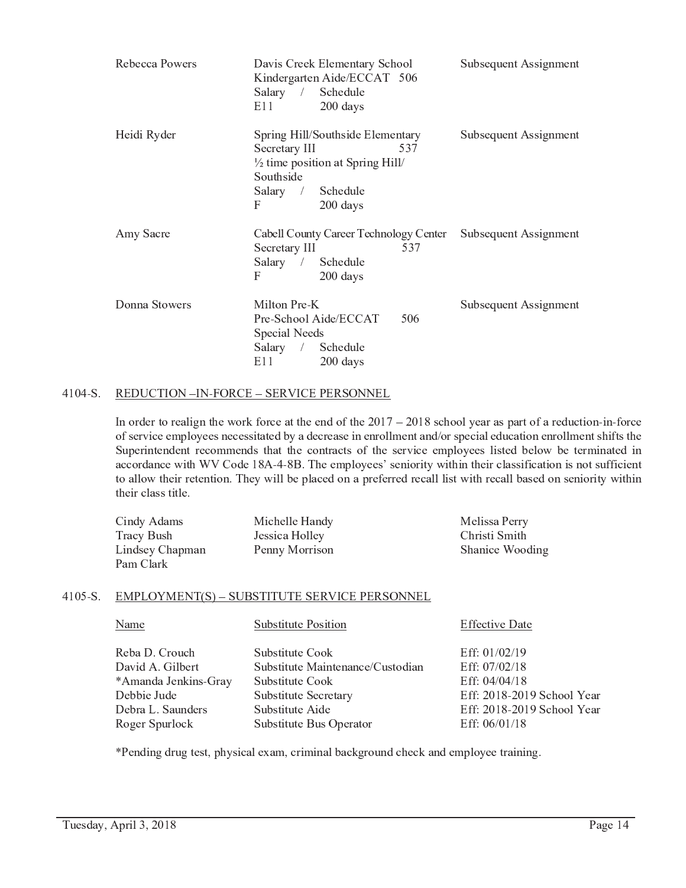| Rebecca Powers | Davis Creek Elementary School<br>Kindergarten Aide/ECCAT 506<br>Salary / Schedule<br>E11<br>200 days                                                       | Subsequent Assignment |
|----------------|------------------------------------------------------------------------------------------------------------------------------------------------------------|-----------------------|
| Heidi Ryder    | Spring Hill/Southside Elementary<br>Secretary III<br>537<br>$\frac{1}{2}$ time position at Spring Hill/<br>Southside<br>Salary / Schedule<br>F<br>200 days | Subsequent Assignment |
| Amy Sacre      | Cabell County Career Technology Center<br>Secretary III<br>537<br>Salary / Schedule<br>F<br>$200$ days                                                     | Subsequent Assignment |
| Donna Stowers  | Milton Pre-K<br>Pre-School Aide/ECCAT<br>506<br>Special Needs<br>Salary / Schedule<br>E11<br>$200$ days                                                    | Subsequent Assignment |

#### REDUCTION -IN-FORCE - SERVICE PERSONNEL  $4104-S.$

In order to realign the work force at the end of the  $2017 - 2018$  school year as part of a reduction-in-force of service employees necessitated by a decrease in enrollment and/or special education enrollment shifts the Superintendent recommends that the contracts of the service employees listed below be terminated in accordance with WV Code 18A-4-8B. The employees' seniority within their classification is not sufficient to allow their retention. They will be placed on a preferred recall list with recall based on seniority within their class title.

| Cindy Adams     | Michelle Handy | Melissa Perry   |
|-----------------|----------------|-----------------|
| Tracy Bush      | Jessica Holley | Christi Smith   |
| Lindsey Chapman | Penny Morrison | Shanice Wooding |
| Pam Clark       |                |                 |

# 4105-S. EMPLOYMENT(S) - SUBSTITUTE SERVICE PERSONNEL

| Name                                | <b>Substitute Position</b>                          | <b>Effective Date</b>                       |
|-------------------------------------|-----------------------------------------------------|---------------------------------------------|
| Reba D. Crouch<br>David A. Gilbert  | Substitute Cook<br>Substitute Maintenance/Custodian | Eff: $01/02/19$<br>Eff: 07/02/18            |
| *Amanda Jenkins-Gray                | Substitute Cook                                     | Eff: 04/04/18                               |
| Debbie Jude                         | Substitute Secretary                                | Eff: 2018-2019 School Year                  |
| Debra L. Saunders<br>Roger Spurlock | Substitute Aide<br>Substitute Bus Operator          | Eff: 2018-2019 School Year<br>Eff: 06/01/18 |

\*Pending drug test, physical exam, criminal background check and employee training.